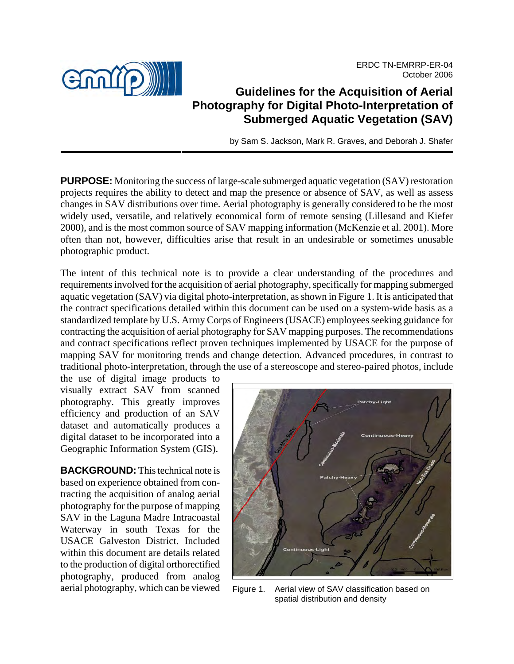ERDC TN-EMRRP-ER-04 October 2006



# **Guidelines for the Acquisition of Aerial Photography for Digital Photo-Interpretation of Submerged Aquatic Vegetation (SAV)**

by Sam S. Jackson, Mark R. Graves, and Deborah J. Shafer

**PURPOSE:** Monitoring the success of large-scale submerged aquatic vegetation (SAV) restoration projects requires the ability to detect and map the presence or absence of SAV, as well as assess changes in SAV distributions over time. Aerial photography is generally considered to be the most widely used, versatile, and relatively economical form of remote sensing (Lillesand and Kiefer 2000), and is the most common source of SAV mapping information (McKenzie et al. 2001). More often than not, however, difficulties arise that result in an undesirable or sometimes unusable photographic product.

The intent of this technical note is to provide a clear understanding of the procedures and requirements involved for the acquisition of aerial photography, specifically for mapping submerged aquatic vegetation (SAV) via digital photo-interpretation, as shown in Figure 1. It is anticipated that the contract specifications detailed within this document can be used on a system-wide basis as a standardized template by U.S. Army Corps of Engineers (USACE) employees seeking guidance for contracting the acquisition of aerial photography for SAV mapping purposes. The recommendations and contract specifications reflect proven techniques implemented by USACE for the purpose of mapping SAV for monitoring trends and change detection. Advanced procedures, in contrast to traditional photo-interpretation, through the use of a stereoscope and stereo-paired photos, include

the use of digital image products to visually extract SAV from scanned photography. This greatly improves efficiency and production of an SAV dataset and automatically produces a digital dataset to be incorporated into a Geographic Information System (GIS).

**BACKGROUND:** This technical note is based on experience obtained from contracting the acquisition of analog aerial photography for the purpose of mapping SAV in the Laguna Madre Intracoastal Waterway in south Texas for the USACE Galveston District. Included within this document are details related to the production of digital orthorectified photography, produced from analog



aerial photography, which can be viewed Figure 1. Aerial view of SAV classification based on spatial distribution and density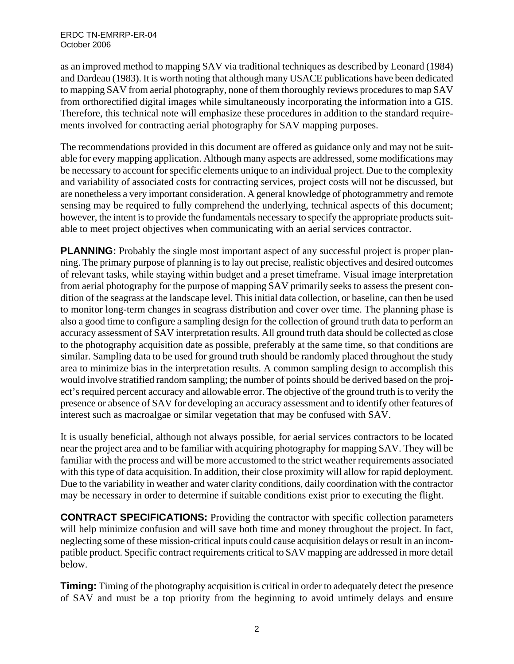as an improved method to mapping SAV via traditional techniques as described by Leonard (1984) and Dardeau (1983). It is worth noting that although many USACE publications have been dedicated to mapping SAV from aerial photography, none of them thoroughly reviews procedures to map SAV from orthorectified digital images while simultaneously incorporating the information into a GIS. Therefore, this technical note will emphasize these procedures in addition to the standard requirements involved for contracting aerial photography for SAV mapping purposes.

The recommendations provided in this document are offered as guidance only and may not be suitable for every mapping application. Although many aspects are addressed, some modifications may be necessary to account for specific elements unique to an individual project. Due to the complexity and variability of associated costs for contracting services, project costs will not be discussed, but are nonetheless a very important consideration. A general knowledge of photogrammetry and remote sensing may be required to fully comprehend the underlying, technical aspects of this document; however, the intent is to provide the fundamentals necessary to specify the appropriate products suitable to meet project objectives when communicating with an aerial services contractor.

**PLANNING:** Probably the single most important aspect of any successful project is proper planning. The primary purpose of planning is to lay out precise, realistic objectives and desired outcomes of relevant tasks, while staying within budget and a preset timeframe. Visual image interpretation from aerial photography for the purpose of mapping SAV primarily seeks to assess the present condition of the seagrass at the landscape level. This initial data collection, or baseline, can then be used to monitor long-term changes in seagrass distribution and cover over time. The planning phase is also a good time to configure a sampling design for the collection of ground truth data to perform an accuracy assessment of SAV interpretation results. All ground truth data should be collected as close to the photography acquisition date as possible, preferably at the same time, so that conditions are similar. Sampling data to be used for ground truth should be randomly placed throughout the study area to minimize bias in the interpretation results. A common sampling design to accomplish this would involve stratified random sampling; the number of points should be derived based on the project's required percent accuracy and allowable error. The objective of the ground truth is to verify the presence or absence of SAV for developing an accuracy assessment and to identify other features of interest such as macroalgae or similar vegetation that may be confused with SAV.

It is usually beneficial, although not always possible, for aerial services contractors to be located near the project area and to be familiar with acquiring photography for mapping SAV. They will be familiar with the process and will be more accustomed to the strict weather requirements associated with this type of data acquisition. In addition, their close proximity will allow for rapid deployment. Due to the variability in weather and water clarity conditions, daily coordination with the contractor may be necessary in order to determine if suitable conditions exist prior to executing the flight.

**CONTRACT SPECIFICATIONS:** Providing the contractor with specific collection parameters will help minimize confusion and will save both time and money throughout the project. In fact, neglecting some of these mission-critical inputs could cause acquisition delays or result in an incompatible product. Specific contract requirements critical to SAV mapping are addressed in more detail below.

**Timing:** Timing of the photography acquisition is critical in order to adequately detect the presence of SAV and must be a top priority from the beginning to avoid untimely delays and ensure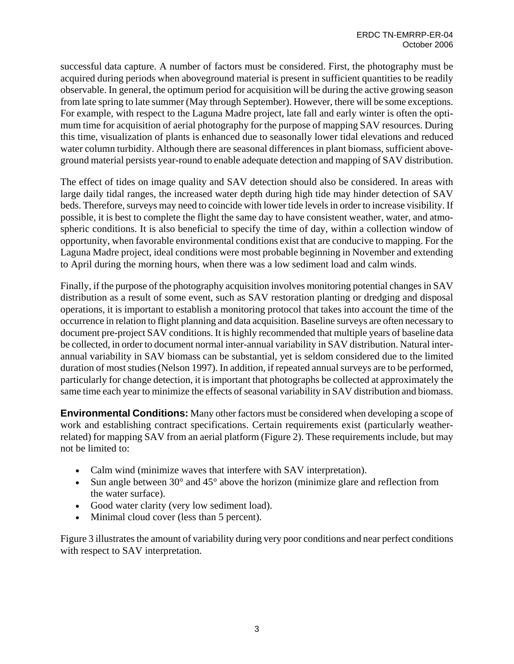successful data capture. A number of factors must be considered. First, the photography must be acquired during periods when aboveground material is present in sufficient quantities to be readily observable. In general, the optimum period for acquisition will be during the active growing season from late spring to late summer (May through September). However, there will be some exceptions. For example, with respect to the Laguna Madre project, late fall and early winter is often the optimum time for acquisition of aerial photography for the purpose of mapping SAV resources. During this time, visualization of plants is enhanced due to seasonally lower tidal elevations and reduced water column turbidity. Although there are seasonal differences in plant biomass, sufficient aboveground material persists year-round to enable adequate detection and mapping of SAV distribution.

The effect of tides on image quality and SAV detection should also be considered. In areas with large daily tidal ranges, the increased water depth during high tide may hinder detection of SAV beds. Therefore, surveys may need to coincide with lower tide levels in order to increase visibility. If possible, it is best to complete the flight the same day to have consistent weather, water, and atmospheric conditions. It is also beneficial to specify the time of day, within a collection window of opportunity, when favorable environmental conditions exist that are conducive to mapping. For the Laguna Madre project, ideal conditions were most probable beginning in November and extending to April during the morning hours, when there was a low sediment load and calm winds.

Finally, if the purpose of the photography acquisition involves monitoring potential changes in SAV distribution as a result of some event, such as SAV restoration planting or dredging and disposal operations, it is important to establish a monitoring protocol that takes into account the time of the occurrence in relation to flight planning and data acquisition. Baseline surveys are often necessary to document pre-project SAV conditions. It is highly recommended that multiple years of baseline data be collected, in order to document normal inter-annual variability in SAV distribution. Natural interannual variability in SAV biomass can be substantial, yet is seldom considered due to the limited duration of most studies (Nelson 1997). In addition, if repeated annual surveys are to be performed, particularly for change detection, it is important that photographs be collected at approximately the same time each year to minimize the effects of seasonal variability in SAV distribution and biomass.

**Environmental Conditions:** Many other factors must be considered when developing a scope of work and establishing contract specifications. Certain requirements exist (particularly weatherrelated) for mapping SAV from an aerial platform (Figure 2). These requirements include, but may not be limited to:

- Calm wind (minimize waves that interfere with SAV interpretation).
- Sun angle between 30° and 45° above the horizon (minimize glare and reflection from the water surface).
- Good water clarity (very low sediment load).
- Minimal cloud cover (less than 5 percent).

Figure 3 illustrates the amount of variability during very poor conditions and near perfect conditions with respect to SAV interpretation.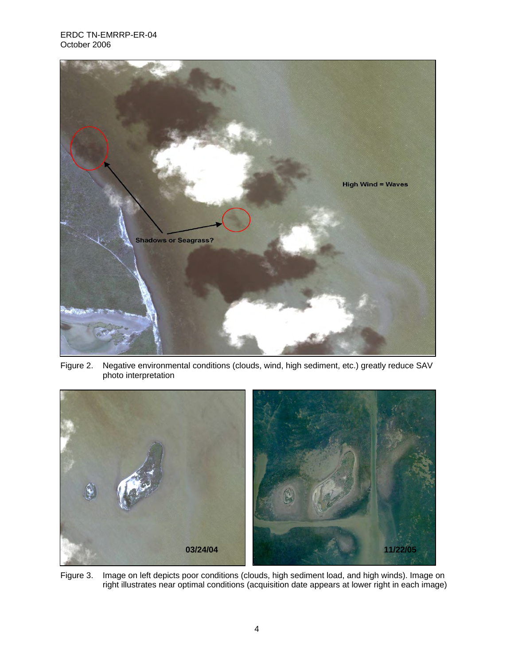

Figure 2. Negative environmental conditions (clouds, wind, high sediment, etc.) greatly reduce SAV photo interpretation



Figure 3. Image on left depicts poor conditions (clouds, high sediment load, and high winds). Image on right illustrates near optimal conditions (acquisition date appears at lower right in each image)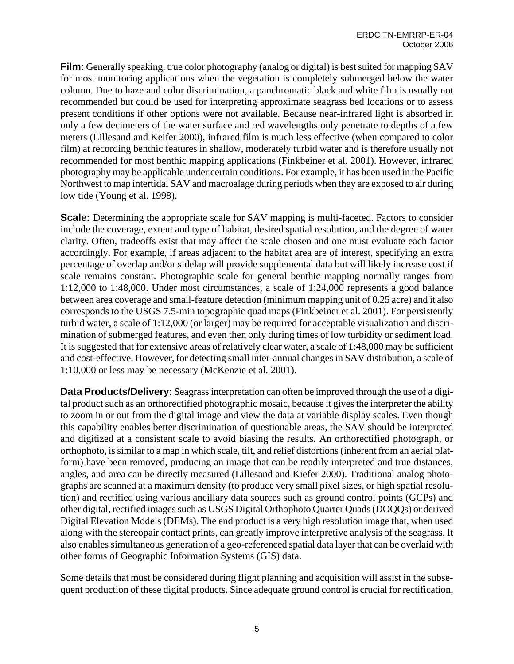**Film:** Generally speaking, true color photography (analog or digital) is best suited for mapping SAV for most monitoring applications when the vegetation is completely submerged below the water column. Due to haze and color discrimination, a panchromatic black and white film is usually not recommended but could be used for interpreting approximate seagrass bed locations or to assess present conditions if other options were not available. Because near-infrared light is absorbed in only a few decimeters of the water surface and red wavelengths only penetrate to depths of a few meters (Lillesand and Keifer 2000), infrared film is much less effective (when compared to color film) at recording benthic features in shallow, moderately turbid water and is therefore usually not recommended for most benthic mapping applications (Finkbeiner et al. 2001). However, infrared photography may be applicable under certain conditions. For example, it has been used in the Pacific Northwest to map intertidal SAV and macroalage during periods when they are exposed to air during low tide (Young et al. 1998).

**Scale:** Determining the appropriate scale for SAV mapping is multi-faceted. Factors to consider include the coverage, extent and type of habitat, desired spatial resolution, and the degree of water clarity. Often, tradeoffs exist that may affect the scale chosen and one must evaluate each factor accordingly. For example, if areas adjacent to the habitat area are of interest, specifying an extra percentage of overlap and/or sidelap will provide supplemental data but will likely increase cost if scale remains constant. Photographic scale for general benthic mapping normally ranges from 1:12,000 to 1:48,000. Under most circumstances, a scale of 1:24,000 represents a good balance between area coverage and small-feature detection (minimum mapping unit of 0.25 acre) and it also corresponds to the USGS 7.5-min topographic quad maps (Finkbeiner et al. 2001). For persistently turbid water, a scale of 1:12,000 (or larger) may be required for acceptable visualization and discrimination of submerged features, and even then only during times of low turbidity or sediment load. It is suggested that for extensive areas of relatively clear water, a scale of 1:48,000 may be sufficient and cost-effective. However, for detecting small inter-annual changes in SAV distribution, a scale of 1:10,000 or less may be necessary (McKenzie et al. 2001).

**Data Products/Delivery:** Seagrass interpretation can often be improved through the use of a digital product such as an orthorectified photographic mosaic, because it gives the interpreter the ability to zoom in or out from the digital image and view the data at variable display scales. Even though this capability enables better discrimination of questionable areas, the SAV should be interpreted and digitized at a consistent scale to avoid biasing the results. An orthorectified photograph, or orthophoto, is similar to a map in which scale, tilt, and relief distortions (inherent from an aerial platform) have been removed, producing an image that can be readily interpreted and true distances, angles, and area can be directly measured (Lillesand and Kiefer 2000). Traditional analog photographs are scanned at a maximum density (to produce very small pixel sizes, or high spatial resolution) and rectified using various ancillary data sources such as ground control points (GCPs) and other digital, rectified images such as USGS Digital Orthophoto Quarter Quads (DOQQs) or derived Digital Elevation Models (DEMs). The end product is a very high resolution image that, when used along with the stereopair contact prints, can greatly improve interpretive analysis of the seagrass. It also enables simultaneous generation of a geo-referenced spatial data layer that can be overlaid with other forms of Geographic Information Systems (GIS) data.

Some details that must be considered during flight planning and acquisition will assist in the subsequent production of these digital products. Since adequate ground control is crucial for rectification,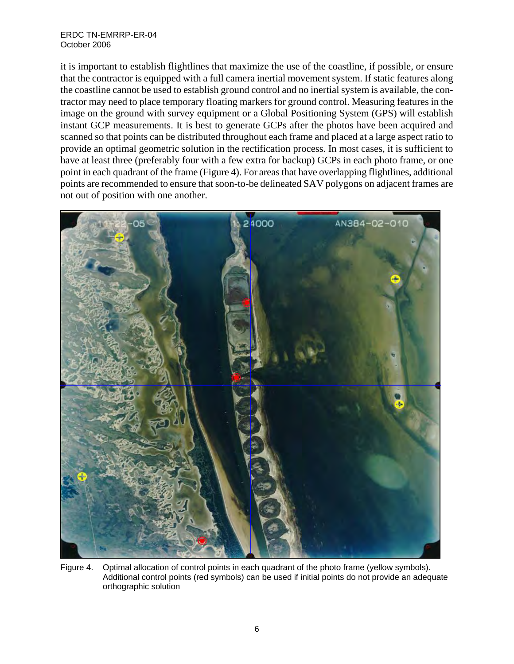#### ERDC TN-EMRRP-ER-04 October 2006

it is important to establish flightlines that maximize the use of the coastline, if possible, or ensure that the contractor is equipped with a full camera inertial movement system. If static features along the coastline cannot be used to establish ground control and no inertial system is available, the contractor may need to place temporary floating markers for ground control. Measuring features in the image on the ground with survey equipment or a Global Positioning System (GPS) will establish instant GCP measurements. It is best to generate GCPs after the photos have been acquired and scanned so that points can be distributed throughout each frame and placed at a large aspect ratio to provide an optimal geometric solution in the rectification process. In most cases, it is sufficient to have at least three (preferably four with a few extra for backup) GCPs in each photo frame, or one point in each quadrant of the frame (Figure 4). For areas that have overlapping flightlines, additional points are recommended to ensure that soon-to-be delineated SAV polygons on adjacent frames are not out of position with one another.



Figure 4. Optimal allocation of control points in each quadrant of the photo frame (yellow symbols). Additional control points (red symbols) can be used if initial points do not provide an adequate orthographic solution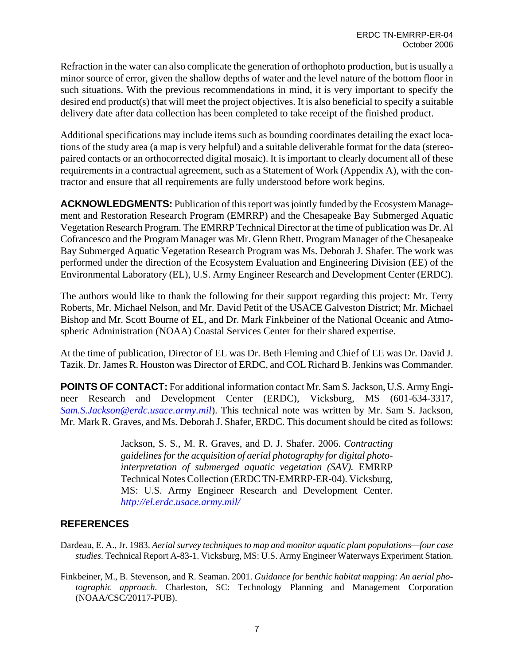Refraction in the water can also complicate the generation of orthophoto production, but is usually a minor source of error, given the shallow depths of water and the level nature of the bottom floor in such situations. With the previous recommendations in mind, it is very important to specify the desired end product(s) that will meet the project objectives. It is also beneficial to specify a suitable delivery date after data collection has been completed to take receipt of the finished product.

Additional specifications may include items such as bounding coordinates detailing the exact locations of the study area (a map is very helpful) and a suitable deliverable format for the data (stereopaired contacts or an orthocorrected digital mosaic). It is important to clearly document all of these requirements in a contractual agreement, such as a Statement of Work (Appendix A), with the contractor and ensure that all requirements are fully understood before work begins.

**ACKNOWLEDGMENTS:** Publication of this report was jointly funded by the Ecosystem Management and Restoration Research Program (EMRRP) and the Chesapeake Bay Submerged Aquatic Vegetation Research Program. The EMRRP Technical Director at the time of publication was Dr. Al Cofrancesco and the Program Manager was Mr. Glenn Rhett. Program Manager of the Chesapeake Bay Submerged Aquatic Vegetation Research Program was Ms. Deborah J. Shafer. The work was performed under the direction of the Ecosystem Evaluation and Engineering Division (EE) of the Environmental Laboratory (EL), U.S. Army Engineer Research and Development Center (ERDC).

The authors would like to thank the following for their support regarding this project: Mr. Terry Roberts, Mr. Michael Nelson, and Mr. David Petit of the USACE Galveston District; Mr. Michael Bishop and Mr. Scott Bourne of EL, and Dr. Mark Finkbeiner of the National Oceanic and Atmospheric Administration (NOAA) Coastal Services Center for their shared expertise.

At the time of publication, Director of EL was Dr. Beth Fleming and Chief of EE was Dr. David J. Tazik. Dr. James R. Houston was Director of ERDC, and COL Richard B. Jenkins was Commander.

**POINTS OF CONTACT:** For additional information contact Mr. Sam S. Jackson, U.S. Army Engineer Research and Development Center (ERDC), Vicksburg, MS (601-634-3317, *Sam.S.Jackson@erdc.usace.army.mil*). This technical note was written by Mr. Sam S. Jackson, Mr. Mark R. Graves, and Ms. Deborah J. Shafer, ERDC. This document should be cited as follows:

> Jackson, S. S., M. R. Graves, and D. J. Shafer. 2006. *Contracting guidelines for the acquisition of aerial photography for digital photointerpretation of submerged aquatic vegetation (SAV).* EMRRP Technical Notes Collection (ERDC TN-EMRRP-ER-04). Vicksburg, MS: U.S. Army Engineer Research and Development Center. *http://el.erdc.usace.army.mil/*

# **REFERENCES**

- Dardeau, E. A., Jr. 1983. *Aerial survey techniques to map and monitor aquatic plant populations—four case studies.* Technical Report A-83-1. Vicksburg, MS: U.S. Army Engineer Waterways Experiment Station.
- Finkbeiner, M., B. Stevenson, and R. Seaman. 2001. *Guidance for benthic habitat mapping: An aerial photographic approach.* Charleston, SC: Technology Planning and Management Corporation (NOAA/CSC/20117-PUB).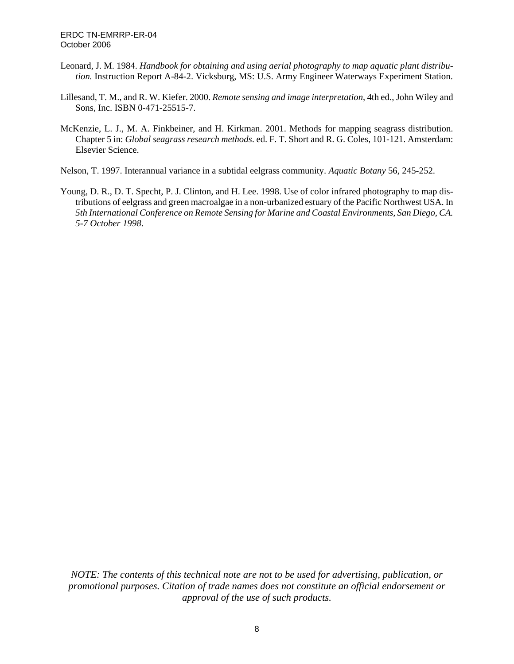- Leonard, J. M. 1984. *Handbook for obtaining and using aerial photography to map aquatic plant distribution.* Instruction Report A-84-2. Vicksburg, MS: U.S. Army Engineer Waterways Experiment Station.
- Lillesand, T. M., and R. W. Kiefer. 2000. *Remote sensing and image interpretation*, 4th ed., John Wiley and Sons, Inc. ISBN 0-471-25515-7.
- McKenzie, L. J., M. A. Finkbeiner, and H. Kirkman. 2001. Methods for mapping seagrass distribution. Chapter 5 in: *Global seagrass research methods*. ed. F. T. Short and R. G. Coles, 101-121. Amsterdam: Elsevier Science.
- Nelson, T. 1997. Interannual variance in a subtidal eelgrass community. *Aquatic Botany* 56, 245-252.
- Young, D. R., D. T. Specht, P. J. Clinton, and H. Lee. 1998. Use of color infrared photography to map distributions of eelgrass and green macroalgae in a non-urbanized estuary of the Pacific Northwest USA. In *5th International Conference on Remote Sensing for Marine and Coastal Environments, San Diego, CA. 5-7 October 1998*.

*NOTE: The contents of this technical note are not to be used for advertising, publication, or promotional purposes. Citation of trade names does not constitute an official endorsement or approval of the use of such products.*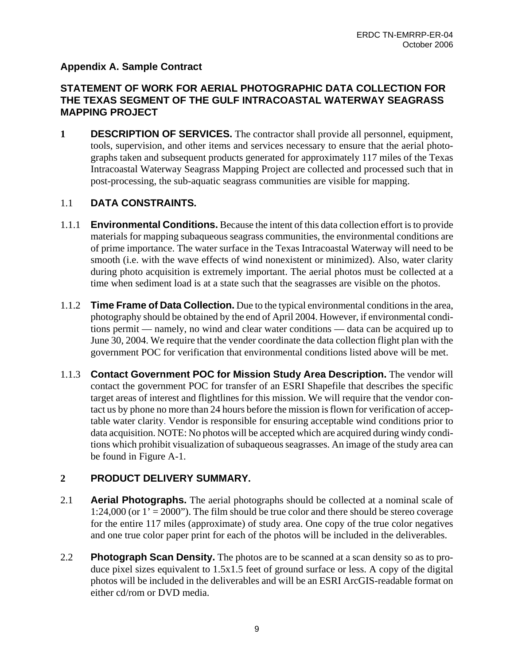### **Appendix A. Sample Contract**

### **STATEMENT OF WORK FOR AERIAL PHOTOGRAPHIC DATA COLLECTION FOR THE TEXAS SEGMENT OF THE GULF INTRACOASTAL WATERWAY SEAGRASS MAPPING PROJECT**

**1 DESCRIPTION OF SERVICES.** The contractor shall provide all personnel, equipment, tools, supervision, and other items and services necessary to ensure that the aerial photographs taken and subsequent products generated for approximately 117 miles of the Texas Intracoastal Waterway Seagrass Mapping Project are collected and processed such that in post-processing, the sub-aquatic seagrass communities are visible for mapping.

### 1.1 **DATA CONSTRAINTS.**

- 1.1.1 **Environmental Conditions.** Because the intent of this data collection effort is to provide materials for mapping subaqueous seagrass communities, the environmental conditions are of prime importance. The water surface in the Texas Intracoastal Waterway will need to be smooth (i.e. with the wave effects of wind nonexistent or minimized). Also, water clarity during photo acquisition is extremely important. The aerial photos must be collected at a time when sediment load is at a state such that the seagrasses are visible on the photos.
- 1.1.2 **Time Frame of Data Collection.** Due to the typical environmental conditions in the area, photography should be obtained by the end of April 2004. However, if environmental conditions permit — namely, no wind and clear water conditions — data can be acquired up to June 30, 2004. We require that the vender coordinate the data collection flight plan with the government POC for verification that environmental conditions listed above will be met.
- 1.1.3 **Contact Government POC for Mission Study Area Description.** The vendor will contact the government POC for transfer of an ESRI Shapefile that describes the specific target areas of interest and flightlines for this mission. We will require that the vendor contact us by phone no more than 24 hours before the mission is flown for verification of acceptable water clarity. Vendor is responsible for ensuring acceptable wind conditions prior to data acquisition. NOTE: No photos will be accepted which are acquired during windy conditions which prohibit visualization of subaqueous seagrasses. An image of the study area can be found in Figure A-1.

#### **2 PRODUCT DELIVERY SUMMARY.**

- 2.1 **Aerial Photographs.** The aerial photographs should be collected at a nominal scale of 1:24,000 (or  $1' = 2000$ "). The film should be true color and there should be stereo coverage for the entire 117 miles (approximate) of study area. One copy of the true color negatives and one true color paper print for each of the photos will be included in the deliverables.
- 2.2 **Photograph Scan Density.** The photos are to be scanned at a scan density so as to produce pixel sizes equivalent to 1.5x1.5 feet of ground surface or less. A copy of the digital photos will be included in the deliverables and will be an ESRI ArcGIS-readable format on either cd/rom or DVD media.